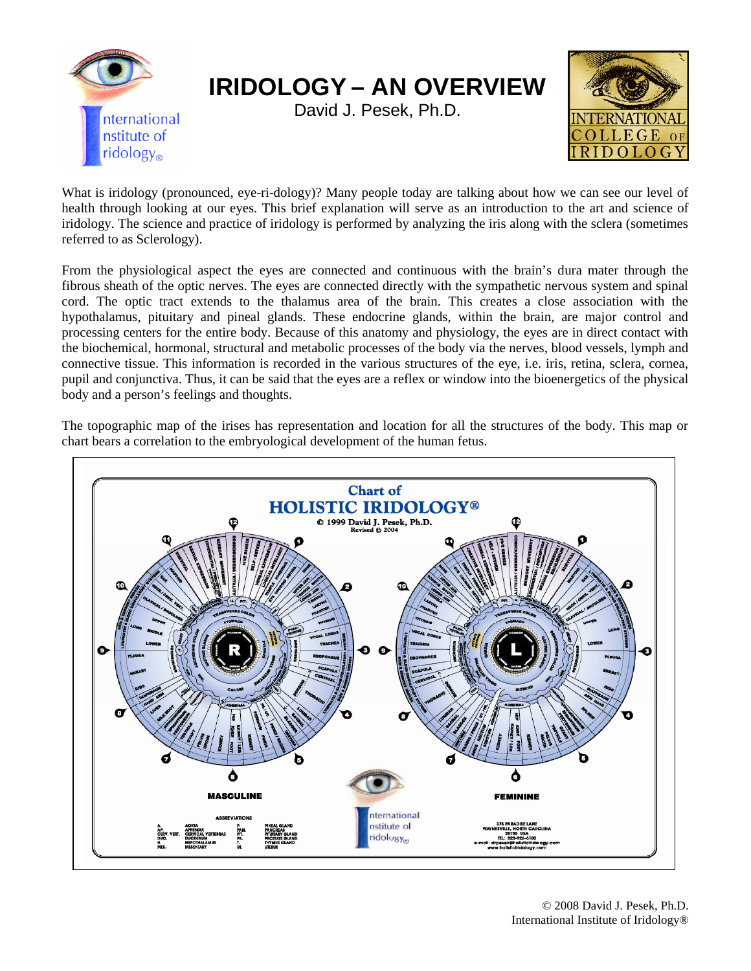

What is iridology (pronounced, eye-ri-dology)? Many people today are talking about how we can see our level of health through looking at our eyes. This brief explanation will serve as an introduction to the art and science of iridology. The science and practice of iridology is performed by analyzing the iris along with the sclera (sometimes referred to as Sclerology).

From the physiological aspect the eyes are connected and continuous with the brain's dura mater through the fibrous sheath of the optic nerves. The eyes are connected directly with the sympathetic nervous system and spinal cord. The optic tract extends to the thalamus area of the brain. This creates a close association with the hypothalamus, pituitary and pineal glands. These endocrine glands, within the brain, are major control and processing centers for the entire body. Because of this anatomy and physiology, the eyes are in direct contact with the biochemical, hormonal, structural and metabolic processes of the body via the nerves, blood vessels, lymph and connective tissue. This information is recorded in the various structures of the eye, i.e. iris, retina, sclera, cornea, pupil and conjunctiva. Thus, it can be said that the eyes are a reflex or window into the bioenergetics of the physical body and a person's feelings and thoughts.

The topographic map of the irises has representation and location for all the structures of the body. This map or chart bears a correlation to the embryological development of the human fetus.

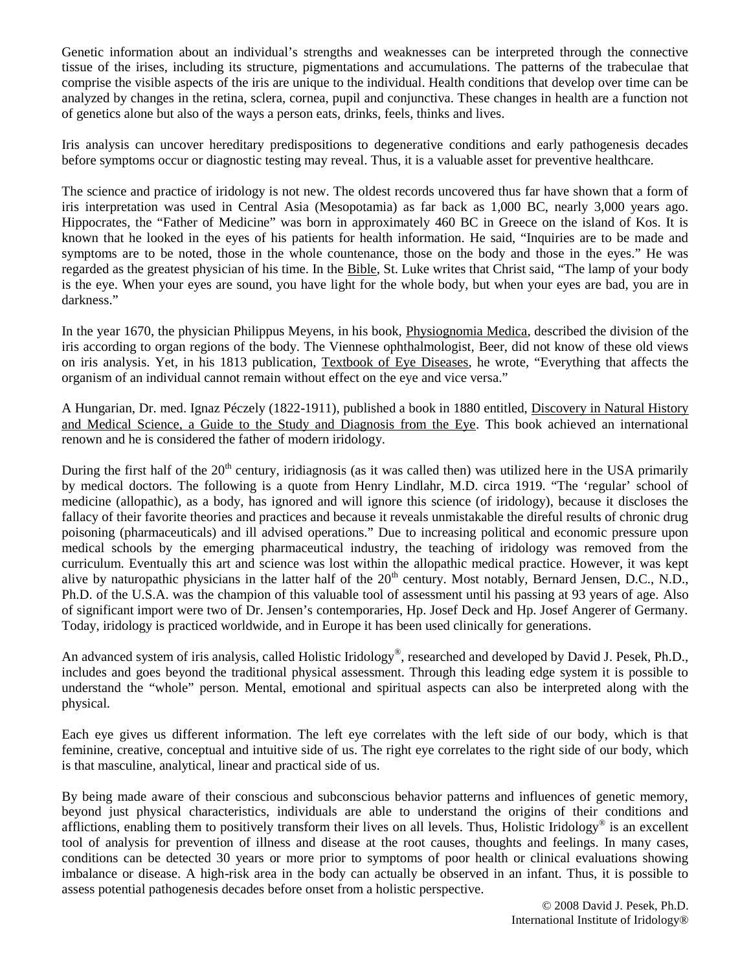Genetic information about an individual's strengths and weaknesses can be interpreted through the connective tissue of the irises, including its structure, pigmentations and accumulations. The patterns of the trabeculae that comprise the visible aspects of the iris are unique to the individual. Health conditions that develop over time can be analyzed by changes in the retina, sclera, cornea, pupil and conjunctiva. These changes in health are a function not of genetics alone but also of the ways a person eats, drinks, feels, thinks and lives.

Iris analysis can uncover hereditary predispositions to degenerative conditions and early pathogenesis decades before symptoms occur or diagnostic testing may reveal. Thus, it is a valuable asset for preventive healthcare.

The science and practice of iridology is not new. The oldest records uncovered thus far have shown that a form of iris interpretation was used in Central Asia (Mesopotamia) as far back as 1,000 BC, nearly 3,000 years ago. Hippocrates, the "Father of Medicine" was born in approximately 460 BC in Greece on the island of Kos. It is known that he looked in the eyes of his patients for health information. He said, "Inquiries are to be made and symptoms are to be noted, those in the whole countenance, those on the body and those in the eyes." He was regarded as the greatest physician of his time. In the Bible, St. Luke writes that Christ said, "The lamp of your body is the eye. When your eyes are sound, you have light for the whole body, but when your eyes are bad, you are in darkness."

In the year 1670, the physician Philippus Meyens, in his book, Physiognomia Medica, described the division of the iris according to organ regions of the body. The Viennese ophthalmologist, Beer, did not know of these old views on iris analysis. Yet, in his 1813 publication, Textbook of Eye Diseases, he wrote, "Everything that affects the organism of an individual cannot remain without effect on the eye and vice versa."

A Hungarian, Dr. med. Ignaz Péczely (1822-1911), published a book in 1880 entitled, Discovery in Natural History and Medical Science, a Guide to the Study and Diagnosis from the Eye. This book achieved an international renown and he is considered the father of modern iridology.

During the first half of the  $20<sup>th</sup>$  century, iridiagnosis (as it was called then) was utilized here in the USA primarily by medical doctors. The following is a quote from Henry Lindlahr, M.D. circa 1919. "The 'regular' school of medicine (allopathic), as a body, has ignored and will ignore this science (of iridology), because it discloses the fallacy of their favorite theories and practices and because it reveals unmistakable the direful results of chronic drug poisoning (pharmaceuticals) and ill advised operations." Due to increasing political and economic pressure upon medical schools by the emerging pharmaceutical industry, the teaching of iridology was removed from the curriculum. Eventually this art and science was lost within the allopathic medical practice. However, it was kept alive by naturopathic physicians in the latter half of the  $20<sup>th</sup>$  century. Most notably, Bernard Jensen, D.C., N.D., Ph.D. of the U.S.A. was the champion of this valuable tool of assessment until his passing at 93 years of age. Also of significant import were two of Dr. Jensen's contemporaries, Hp. Josef Deck and Hp. Josef Angerer of Germany. Today, iridology is practiced worldwide, and in Europe it has been used clinically for generations.

An advanced system of iris analysis, called Holistic Iridology®, researched and developed by David J. Pesek, Ph.D., includes and goes beyond the traditional physical assessment. Through this leading edge system it is possible to understand the "whole" person. Mental, emotional and spiritual aspects can also be interpreted along with the physical.

Each eye gives us different information. The left eye correlates with the left side of our body, which is that feminine, creative, conceptual and intuitive side of us. The right eye correlates to the right side of our body, which is that masculine, analytical, linear and practical side of us.

By being made aware of their conscious and subconscious behavior patterns and influences of genetic memory, beyond just physical characteristics, individuals are able to understand the origins of their conditions and afflictions, enabling them to positively transform their lives on all levels. Thus, Holistic Iridology® is an excellent tool of analysis for prevention of illness and disease at the root causes, thoughts and feelings. In many cases, conditions can be detected 30 years or more prior to symptoms of poor health or clinical evaluations showing imbalance or disease. A high-risk area in the body can actually be observed in an infant. Thus, it is possible to assess potential pathogenesis decades before onset from a holistic perspective.